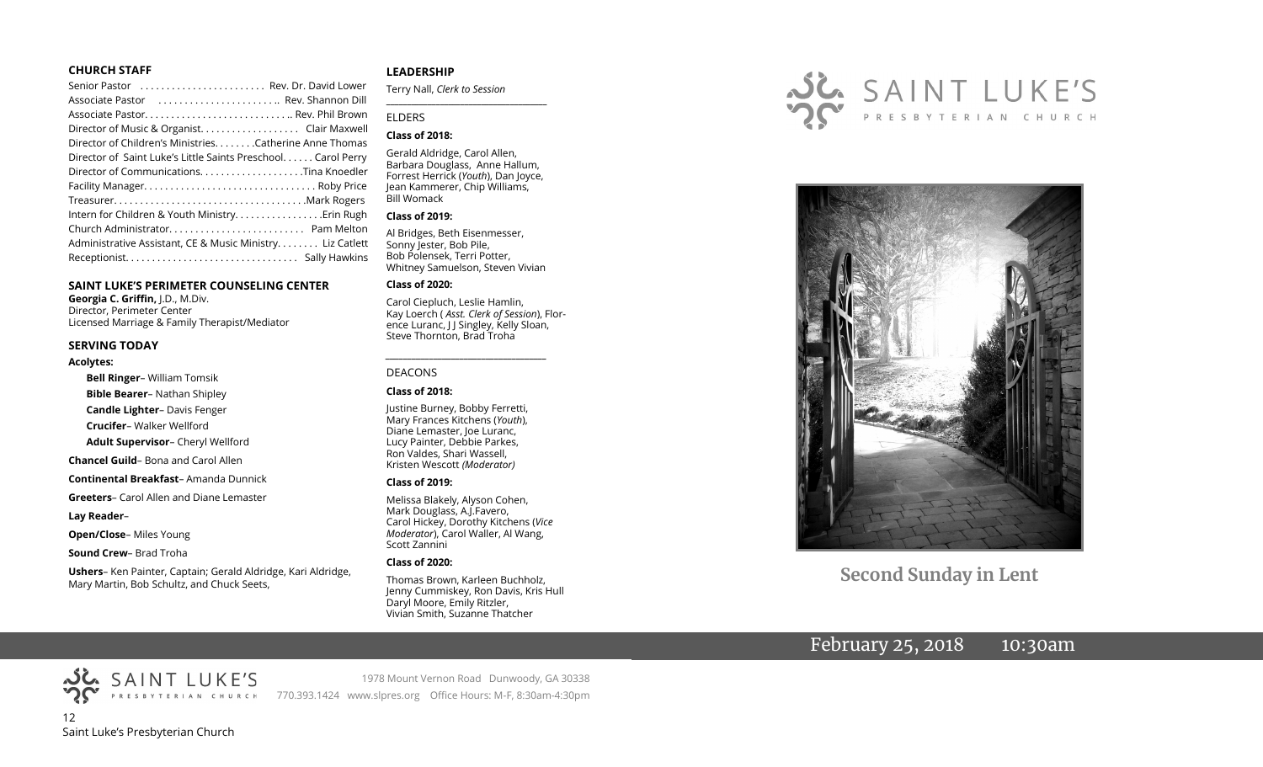#### **CHURCH STAFF**

| Senior Pastor  Rev. Dr. David Lower                          |  |
|--------------------------------------------------------------|--|
| Associate Pastor  Rev. Shannon Dill                          |  |
|                                                              |  |
|                                                              |  |
| Director of Children's Ministries. Catherine Anne Thomas     |  |
| Director of Saint Luke's Little Saints Preschool Carol Perry |  |
| Director of CommunicationsTina Knoedler                      |  |
|                                                              |  |
|                                                              |  |
|                                                              |  |
|                                                              |  |
| Administrative Assistant, CE & Music Ministry Liz Catlett    |  |
|                                                              |  |
|                                                              |  |

#### **SAINT LUKE'S PERIMETER COUNSELING CENTER**

**Georgia C. Griffin,** J.D., M.Div. Director, Perimeter Center Licensed Marriage & Family Therapist/Mediator

#### **SERVING TODAY**

#### **Acolytes:**

**Bell Ringer**– William Tomsik

**Bible Bearer**– Nathan Shipley

**Candle Lighter**– Davis Fenger

**Crucifer**– Walker Wellford

**Adult Supervisor**– Cheryl Wellford

**Chancel Guild**– Bona and Carol Allen

**Continental Breakfast**– Amanda Dunnick

**Greeters**– Carol Allen and Diane Lemaster

#### **Lay Reader**–

**Open/Close**– Miles Young

**Sound Crew**– Brad Troha

**Ushers**– Ken Painter, Captain; Gerald Aldridge, Kari Aldridge, Mary Martin, Bob Schultz, and Chuck Seets,

#### **LEADERSHIP**

Terry Nall, *Clerk to Session* 

#### ELDERS

#### **Class of 2018:**

Gerald Aldridge, Carol Allen, Barbara Douglass, Anne Hallum, Forrest Herrick (*Youth*), Dan Joyce, Jean Kammerer, Chip Williams, Bill Womack

**\_\_\_\_\_\_\_\_\_\_\_\_\_\_\_\_\_\_\_\_\_\_\_\_\_\_\_\_\_\_\_\_\_\_\_\_\_\_\_**

#### **Class of 2019:**

Al Bridges, Beth Eisenmesser, Sonny Jester, Bob Pile, Bob Polensek, Terri Potter, Whitney Samuelson, Steven Vivian

#### **Class of 2020:**

Carol Ciepluch, Leslie Hamlin, Kay Loerch ( *Asst. Clerk of Session*), Florence Luranc, J J Singley, Kelly Sloan, Steve Thornton, Brad Troha

*\_\_\_\_\_\_\_\_\_\_\_\_\_\_\_\_\_\_\_\_\_\_\_\_\_\_\_\_\_\_\_\_\_\_\_\_\_*

#### DEACONS

#### **Class of 2018:**

Justine Burney, Bobby Ferretti, Mary Frances Kitchens (*Youth*), Diane Lemaster, Joe Luranc, Lucy Painter, Debbie Parkes, Ron Valdes, Shari Wassell, Kristen Wescott *(Moderator)*

#### **Class of 2019:**

Melissa Blakely, Alyson Cohen, Mark Douglass, A.J.Favero, Carol Hickey, Dorothy Kitchens (*Vice Moderator*), Carol Waller, Al Wang, Scott Zannini

#### **Class of 2020:**

Thomas Brown, Karleen Buchholz, Jenny Cummiskey, Ron Davis, Kris Hull Daryl Moore, Emily Ritzler, Vivian Smith, Suzanne Thatcher





**Second Sunday in Lent**

# February 25, 2018 10:30am

12 Saint Luke's Presbyterian Church

1978 Mount Vernon Road Dunwoody, GA 30338 770.393.1424 www.slpres.org Office Hours: M-F, 8:30am-4:30pm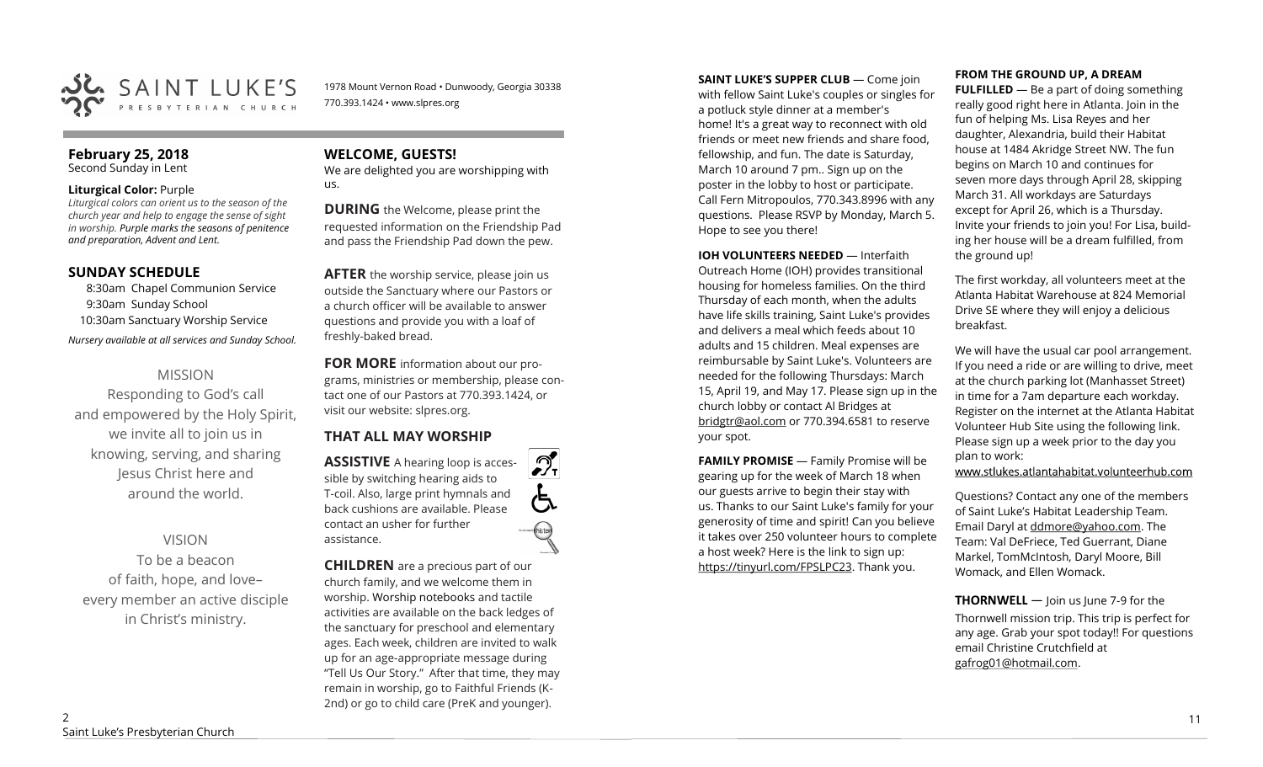

1978 Mount Vernon Road • Dunwoody, Georgia 30338 770.393.1424 • www.slpres.org

# **February 25, 2018**

Second Sunday in Lent

#### **Liturgical Color:** Purple

*Liturgical colors can orient us to the season of the church year and help to engage the sense of sight in worship. Purple marks the seasons of penitence and preparation, Advent and Lent.* 

# **SUNDAY SCHEDULE**

8:30am Chapel Communion Service 9:30am Sunday School 10:30am Sanctuary Worship Service *Nursery available at all services and Sunday School.* 

# MISSION

Responding to God's call and empowered by the Holy Spirit, we invite all to join us in knowing, serving, and sharing Jesus Christ here and around the world.

# VISION

To be a beacon of faith, hope, and love– every member an active disciple in Christ's ministry.

# **WELCOME, GUESTS!**

We are delighted you are worshipping with us.

**DURING** the Welcome, please print the requested information on the Friendship Pad and pass the Friendship Pad down the pew.

**AFTER** the worship service, please join us outside the Sanctuary where our Pastors or a church officer will be available to answer questions and provide you with a loaf of freshly-baked bread.

**FOR MORE** information about our programs, ministries or membership, please contact one of our Pastors at 770.393.1424, or visit our website: slpres.org.

 $\mathcal{D}_{\mathrm{r}}$ 

# **THAT ALL MAY WORSHIP**

**ASSISTIVE** A hearing loop is accessible by switching hearing aids to T-coil. Also, large print hymnals and back cushions are available. Please contact an usher for further assistance.

**CHILDREN** are a precious part of our church family, and we welcome them in worship. Worship notebooks and tactile activities are available on the back ledges of the sanctuary for preschool and elementary ages. Each week, children are invited to walk up for an age-appropriate message during "Tell Us Our Story." After that time, they may remain in worship, go to Faithful Friends (K-2nd) or go to child care (PreK and younger).

**SAINT LUKE'S SUPPER CLUB** — Come join with fellow Saint Luke's couples or singles for a potluck style dinner at a member's home! It's a great way to reconnect with old friends or meet new friends and share food, fellowship, and fun. The date is Saturday, March 10 around 7 pm.. Sign up on the poster in the lobby to host or participate. Call Fern Mitropoulos, 770.343.8996 with any questions. Please RSVP by Monday, March 5. Hope to see you there!

#### **IOH VOLUNTEERS NEEDED** — Interfaith

Outreach Home (IOH) provides transitional housing for homeless families. On the third Thursday of each month, when the adults have life skills training, Saint Luke's provides and delivers a meal which feeds about 10 adults and 15 children. Meal expenses are reimbursable by Saint Luke's. Volunteers are needed for the following Thursdays: March 15, April 19, and May 17. Please sign up in the church lobby or contact Al Bridges at [bridgtr@aol.com](mailto:bridgtr@aol.com) or 770.394.6581 to reserve your spot.

**FAMILY PROMISE** - Family Promise will be gearing up for the week of March 18 when our guests arrive to begin their stay with us. Thanks to our Saint Luke's family for your generosity of time and spirit! Can you believe it takes over 250 volunteer hours to complete a host week? Here is the link to sign up: [https://tinyurl.com/FPSLPC23.](https://tinyurl.com/FPSLPC23) Thank you.

#### **FROM THE GROUND UP, A DREAM**

**FULFILLED** — Be a part of doing something really good right here in Atlanta. Join in the fun of helping Ms. Lisa Reyes and her daughter, Alexandria, build their Habitat house at 1484 Akridge Street NW. The fun begins on March 10 and continues for seven more days through April 28, skipping March 31. All workdays are Saturdays except for April 26, which is a Thursday. Invite your friends to join you! For Lisa, building her house will be a dream fulfilled, from the ground up!

The first workday, all volunteers meet at the Atlanta Habitat Warehouse at 824 Memorial Drive SE where they will enjoy a delicious breakfast.

We will have the usual car pool arrangement. If you need a ride or are willing to drive, meet at the church parking lot (Manhasset Street) in time for a 7am departure each workday. Register on the internet at the Atlanta Habitat Volunteer Hub Site using the following link. Please sign up a week prior to the day you plan to work:

www.stlukes.atlantahabitat.volunteerhub.com

Questions? Contact any one of the members of Saint Luke's Habitat Leadership Team. Email Daryl at ddmore@yahoo.com. The Team: Val DeFriece, Ted Guerrant, Diane Markel, TomMcIntosh, Daryl Moore, Bill Womack, and Ellen Womack.

**THORNWELL** — Join us June 7-9 for the Thornwell mission trip. This trip is perfect for any age. Grab your spot today!! For questions email Christine Crutchfield at [gafrog01@hotmail.com.](mailto:gafrog01@hotmail.com)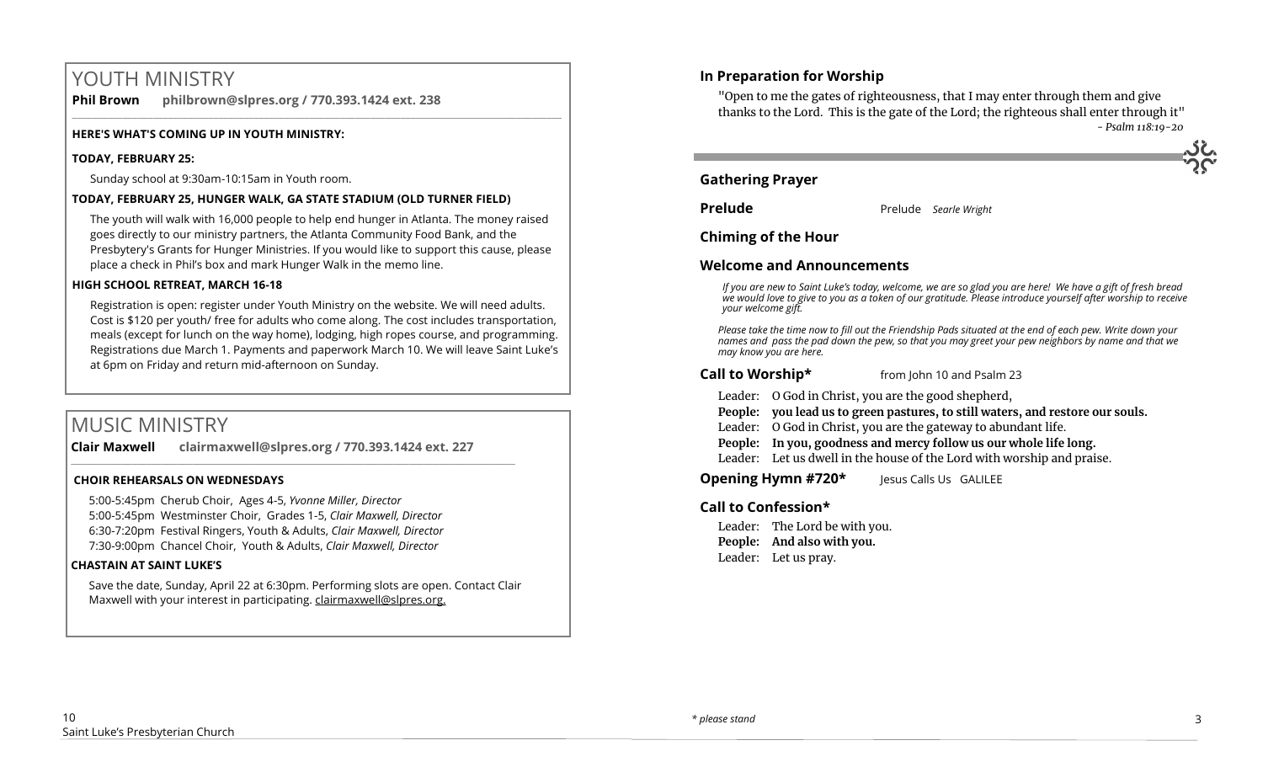# YOUTH MINISTRY

**Phil Brown philbrown@slpres.org / 770.393.1424 ext. 238**   $\_$  ,  $\_$  ,  $\_$  ,  $\_$  ,  $\_$  ,  $\_$  ,  $\_$  ,  $\_$  ,  $\_$  ,  $\_$  ,  $\_$  ,  $\_$  ,  $\_$  ,  $\_$  ,  $\_$  ,  $\_$  ,  $\_$  ,  $\_$  ,  $\_$  ,  $\_$ 

#### **HERE'S WHAT'S COMING UP IN YOUTH MINISTRY:**

#### **TODAY, FEBRUARY 25:**

Sunday school at 9:30am-10:15am in Youth room.

#### **TODAY, FEBRUARY 25, HUNGER WALK, GA STATE STADIUM (OLD TURNER FIELD)**

The youth will walk with 16,000 people to help end hunger in Atlanta. The money raised goes directly to our ministry partners, the Atlanta Community Food Bank, and the Presbytery's Grants for Hunger Ministries. If you would like to support this cause, please place a check in Phil's box and mark Hunger Walk in the memo line.

#### **HIGH SCHOOL RETREAT, MARCH 16-18**

Registration is open: register under Youth Ministry on the website. We will need adults. Cost is \$120 per youth/ free for adults who come along. The cost includes transportation, meals (except for lunch on the way home), lodging, high ropes course, and programming. Registrations due March 1. Payments and paperwork March 10. We will leave Saint Luke's at 6pm on Friday and return mid-afternoon on Sunday.

# MUSIC MINISTRY

**Clair Maxwell clairmaxwell@slpres.org / 770.393.1424 ext. 227** 

 $\_$  ,  $\_$  ,  $\_$  ,  $\_$  ,  $\_$  ,  $\_$  ,  $\_$  ,  $\_$  ,  $\_$  ,  $\_$  ,  $\_$  ,  $\_$  ,  $\_$  ,  $\_$  ,  $\_$  ,  $\_$  ,  $\_$  ,  $\_$  ,  $\_$ 

#### **CHOIR REHEARSALS ON WEDNESDAYS**

5:00-5:45pm Cherub Choir, Ages 4-5, *Yvonne Miller, Director*  5:00-5:45pm Westminster Choir, Grades 1-5, *Clair Maxwell, Director*  6:30-7:20pm Festival Ringers, Youth & Adults, *Clair Maxwell, Director*  7:30-9:00pm Chancel Choir, Youth & Adults, *Clair Maxwell, Director* 

#### **CHASTAIN AT SAINT LUKE'S**

Save the date, Sunday, April 22 at 6:30pm. Performing slots are open. Contact Clair Maxwell with your interest in participating. clairmaxwell@slpres.org.

# **In Preparation for Worship**

"Open to me the gates of righteousness, that I may enter through them and give thanks to the Lord. This is the gate of the Lord; the righteous shall enter through it" *- Psalm 118:19-20*

# **Gathering Prayer**

**Prelude** Prelude *Searle Wright* 

#### **Chiming of the Hour**

#### **Welcome and Announcements**

*If you are new to Saint Luke's today, welcome, we are so glad you are here! We have a gift of fresh bread we would love to give to you as a token of our gratitude. Please introduce yourself after worship to receive your welcome gift.*

*Please take the time now to fill out the Friendship Pads situated at the end of each pew. Write down your names and pass the pad down the pew, so that you may greet your pew neighbors by name and that we may know you are here.*

#### **Call to Worship\*** from John 10 and Psalm 23

Leader: O God in Christ, you are the good shepherd,

- **People: you lead us to green pastures, to still waters, and restore our souls.**
- Leader: O God in Christ, you are the gateway to abundant life.
- **People: In you, goodness and mercy follow us our whole life long.**
- Leader: Let us dwell in the house of the Lord with worship and praise.

**Opening Hymn #720\*** Jesus Calls Us GALILEE

### **Call to Confession\***

Leader: The Lord be with you. **People: And also with you.** Leader: Let us pray.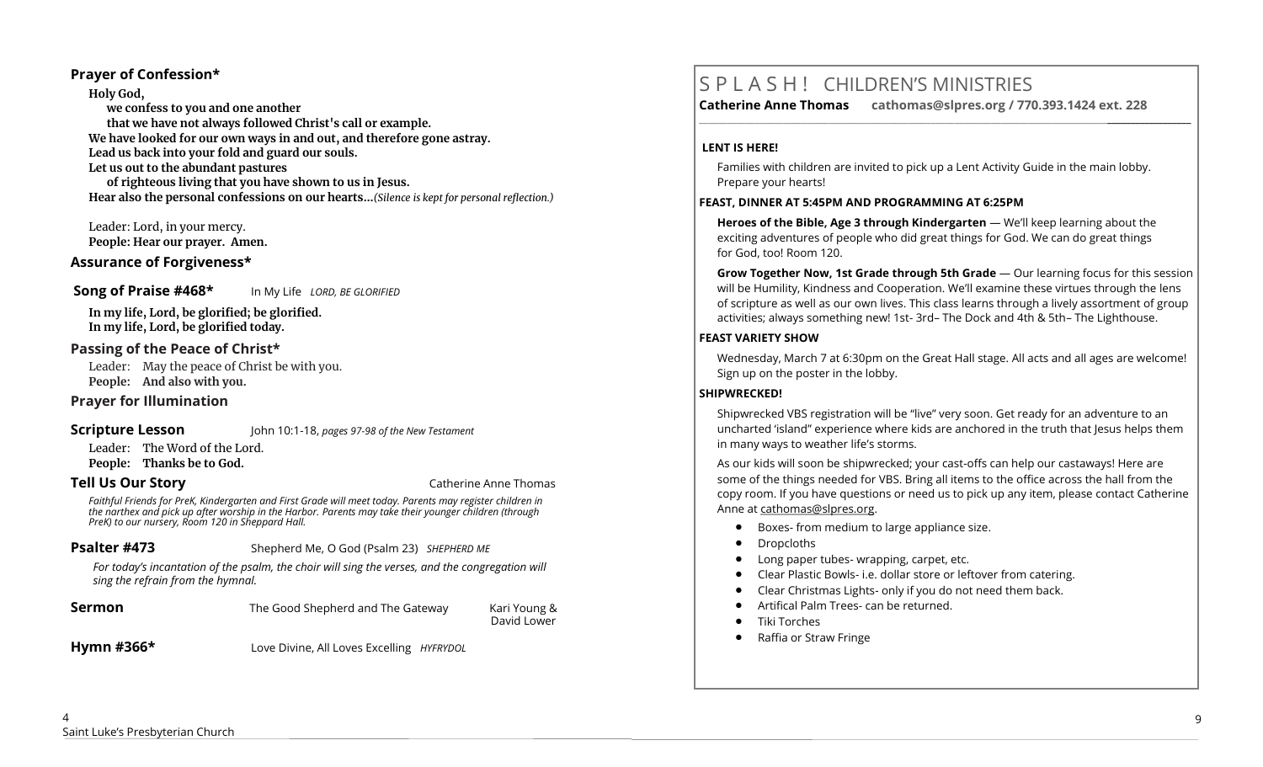### **Prayer of Confession\***

**Holy God, we confess to you and one another that we have not always followed Christ's call or example. We have looked for our own ways in and out, and therefore gone astray. Lead us back into your fold and guard our souls. Let us out to the abundant pastures of righteous living that you have shown to us in Jesus. Hear also the personal confessions on our hearts…***(Silence is kept for personal reflection.)*

Leader: Lord, in your mercy. **People: Hear our prayer. Amen.**

# **Assurance of Forgiveness\***

#### **Song of Praise #468\*** In My Life *LORD, BE GLORIFIED*

**In my life, Lord, be glorified; be glorified. In my life, Lord, be glorified today.**

## **Passing of the Peace of Christ\***

Leader: May the peace of Christ be with you. **People: And also with you.**

### **Prayer for Illumination**

### **Scripture Lesson** John 10:1-18, *pages 97-98 of the New Testament*

Leader: The Word of the Lord. **People: Thanks be to God.**

#### **Tell Us Our Story Catherine Anne Thomas Catherine Anne Thomas**

*Faithful Friends for PreK, Kindergarten and First Grade will meet today. Parents may register children in the narthex and pick up after worship in the Harbor. Parents may take their younger children (through PreK) to our nursery, Room 120 in Sheppard Hall.* 

### **Psalter #473** Shepherd Me, O God (Psalm 23) *SHEPHERD ME*

*For today's incantation of the psalm, the choir will sing the verses, and the congregation will sing the refrain from the hymnal.*

| Sermon     | The Good Shepherd and The Gateway         | Kari Young &<br>David Lower |
|------------|-------------------------------------------|-----------------------------|
| Hymn #366* | Love Divine, All Loves Excelling HYFRYDOL |                             |

# S P L A S H ! CHILDREN'S MINISTRIES

**Catherine Anne Thomas cathomas@slpres.org / 770.393.1424 ext. 228 \_\_\_\_\_\_\_\_\_\_\_\_\_\_\_\_\_\_\_\_\_\_\_\_\_\_\_\_\_\_\_\_\_\_\_\_\_\_\_\_\_\_\_\_\_\_\_\_\_\_\_\_\_\_\_\_\_\_\_\_\_\_\_\_\_\_\_\_\_\_\_\_\_\_\_\_\_\_\_\_\_\_\_\_\_\_\_\_\_\_\_\_\_\_\_\_\_\_\_\_\_\_\_\_\_\_** 

#### **LENT IS HERE!**

Families with children are invited to pick up a Lent Activity Guide in the main lobby. Prepare your hearts!

#### **FEAST, DINNER AT 5:45PM AND PROGRAMMING AT 6:25PM**

**Heroes of the Bible, Age 3 through Kindergarten** — We'll keep learning about the exciting adventures of people who did great things for God. We can do great things for God, too! Room 120.

**Grow Together Now, 1st Grade through 5th Grade** — Our learning focus for this session will be Humility, Kindness and Cooperation. We'll examine these virtues through the lens of scripture as well as our own lives. This class learns through a lively assortment of group activities; always something new! 1st- 3rd– The Dock and 4th & 5th– The Lighthouse.

### **FEAST VARIETY SHOW**

Wednesday, March 7 at 6:30pm on the Great Hall stage. All acts and all ages are welcome! Sign up on the poster in the lobby.

# **SHIPWRECKED!**

Shipwrecked VBS registration will be "live" very soon. Get ready for an adventure to an uncharted 'island" experience where kids are anchored in the truth that Jesus helps them in many ways to weather life's storms.

As our kids will soon be shipwrecked; your cast-offs can help our castaways! Here are some of the things needed for VBS. Bring all items to the office across the hall from the copy room. If you have questions or need us to pick up any item, please contact Catherine Anne at [cathomas@slpres.org.](mailto:cathomas@slpres.org)

- Boxes- from medium to large appliance size.
- Dropcloths
- Long paper tubes- wrapping, carpet, etc.
- Clear Plastic Bowls- i.e. dollar store or leftover from catering.
- Clear Christmas Lights- only if you do not need them back.
- Artifical Palm Trees- can be returned.
- Tiki Torches
- Raffia or Straw Fringe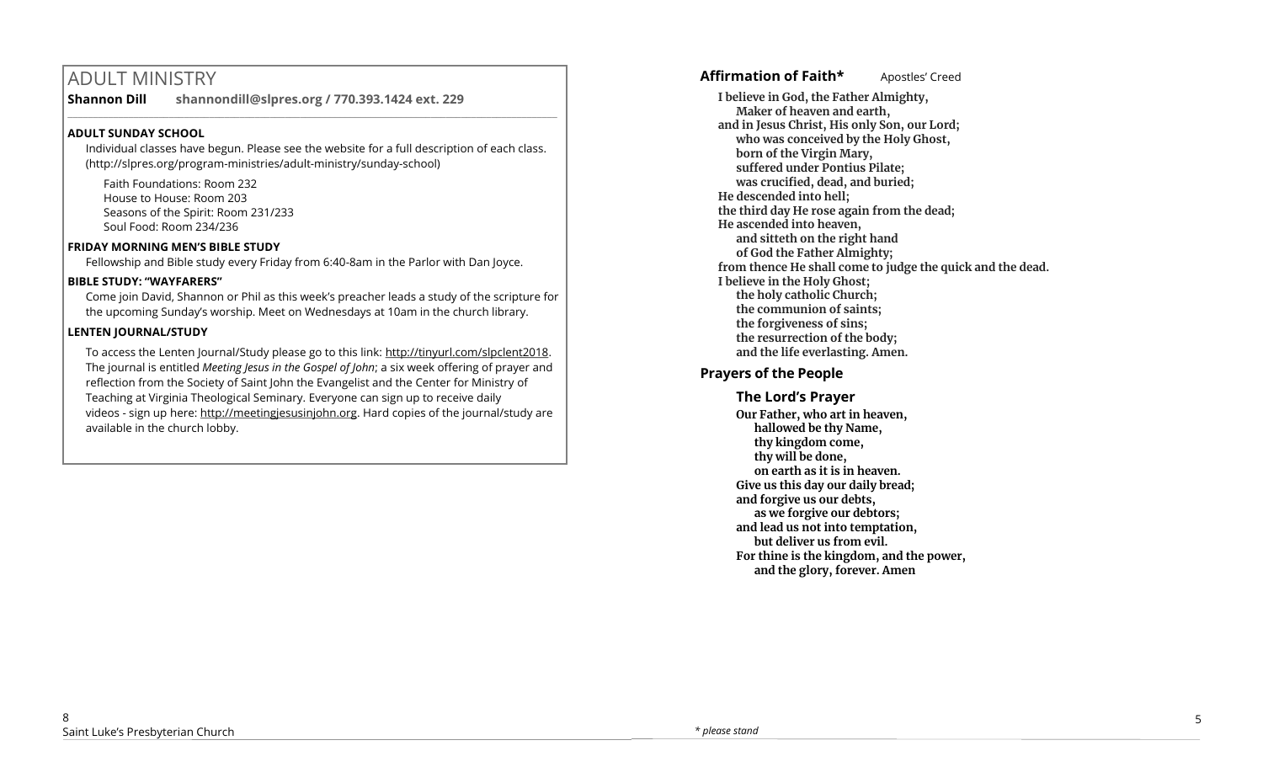# ADULT MINISTRY

**Shannon Dill shannondill@slpres.org / 770.393.1424 ext. 229** 

# **ADULT SUNDAY SCHOOL**

Individual classes have begun. Please see the website for a full description of each class. (http://slpres.org/program-ministries/adult-ministry/sunday-school)

 $\_$  ,  $\_$  ,  $\_$  ,  $\_$  ,  $\_$  ,  $\_$  ,  $\_$  ,  $\_$  ,  $\_$  ,  $\_$  ,  $\_$  ,  $\_$  ,  $\_$  ,  $\_$  ,  $\_$  ,  $\_$  ,  $\_$  ,  $\_$  ,  $\_$ 

Faith Foundations: Room 232 House to House: Room 203 Seasons of the Spirit: Room 231/233 Soul Food: Room 234/236

## **FRIDAY MORNING MEN'S BIBLE STUDY**

Fellowship and Bible study every Friday from 6:40-8am in the Parlor with Dan Joyce.

# **BIBLE STUDY: "WAYFARERS"**

Come join David, Shannon or Phil as this week's preacher leads a study of the scripture for the upcoming Sunday's worship. Meet on Wednesdays at 10am in the church library.

# **LENTEN JOURNAL/STUDY**

To access the Lenten Journal/Study please go to this link: http://tinyurl.com/slpclent2018. The journal is entitled *Meeting Jesus in the Gospel of John*; a six week offering of prayer and reflection from the Society of Saint John the Evangelist and the Center for Ministry of Teaching at Virginia Theological Seminary. Everyone can sign up to receive daily videos - sign up here: [http://meetingjesusinjohn.org.](http://meetingjesusinjohn.org/) Hard copies of the journal/study are available in the church lobby.

# Affirmation of Faith\* **Apostles'** Creed

**I believe in God, the Father Almighty, Maker of heaven and earth, and in Jesus Christ, His only Son, our Lord; who was conceived by the Holy Ghost, born of the Virgin Mary, suffered under Pontius Pilate; was crucified, dead, and buried; He descended into hell; the third day He rose again from the dead; He ascended into heaven, and sitteth on the right hand of God the Father Almighty; from thence He shall come to judge the quick and the dead. I believe in the Holy Ghost; the holy catholic Church; the communion of saints; the forgiveness of sins; the resurrection of the body; and the life everlasting. Amen.**

# **Prayers of the People**

**The Lord's Prayer Our Father, who art in heaven, hallowed be thy Name, thy kingdom come, thy will be done, on earth as it is in heaven. Give us this day our daily bread; and forgive us our debts, as we forgive our debtors; and lead us not into temptation, but deliver us from evil. For thine is the kingdom, and the power, and the glory, forever. Amen**